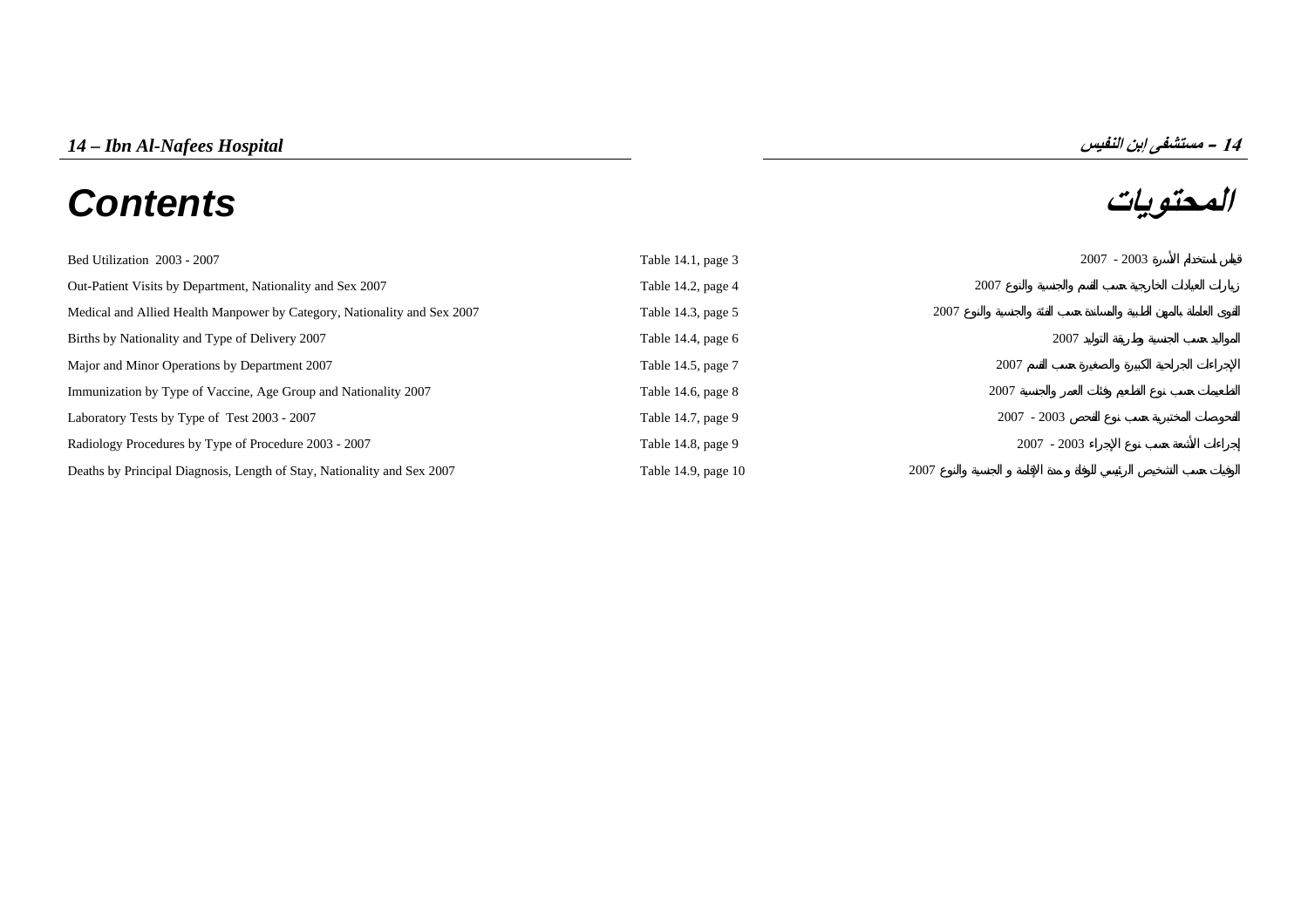# **المحتويات** *Contents*



| Bed Utilization 2003 - 2007                                              | Table $14.1$ , page $3$ | $2007 - 2003$ |
|--------------------------------------------------------------------------|-------------------------|---------------|
| Out-Patient Visits by Department, Nationality and Sex 2007               | Table 14.2, page 4      | 2007          |
| Medical and Allied Health Manpower by Category, Nationality and Sex 2007 | Table 14.3, page $5$    | 2007          |
| Births by Nationality and Type of Delivery 2007                          | Table 14.4, page $6$    | 2007          |
| Major and Minor Operations by Department 2007                            | Table 14.5, page 7      | 2007          |
| Immunization by Type of Vaccine, Age Group and Nationality 2007          | Table 14.6, page $8$    | 2007          |
| Laboratory Tests by Type of Test 2003 - 2007                             | Table 14.7, page 9      | $2007 - 2003$ |
| Radiology Procedures by Type of Procedure 2003 - 2007                    | Table 14.8, page 9      | $2007 - 2003$ |
| Deaths by Principal Diagnosis, Length of Stay, Nationality and Sex 2007  | Table 14.9, page 10     | 2007          |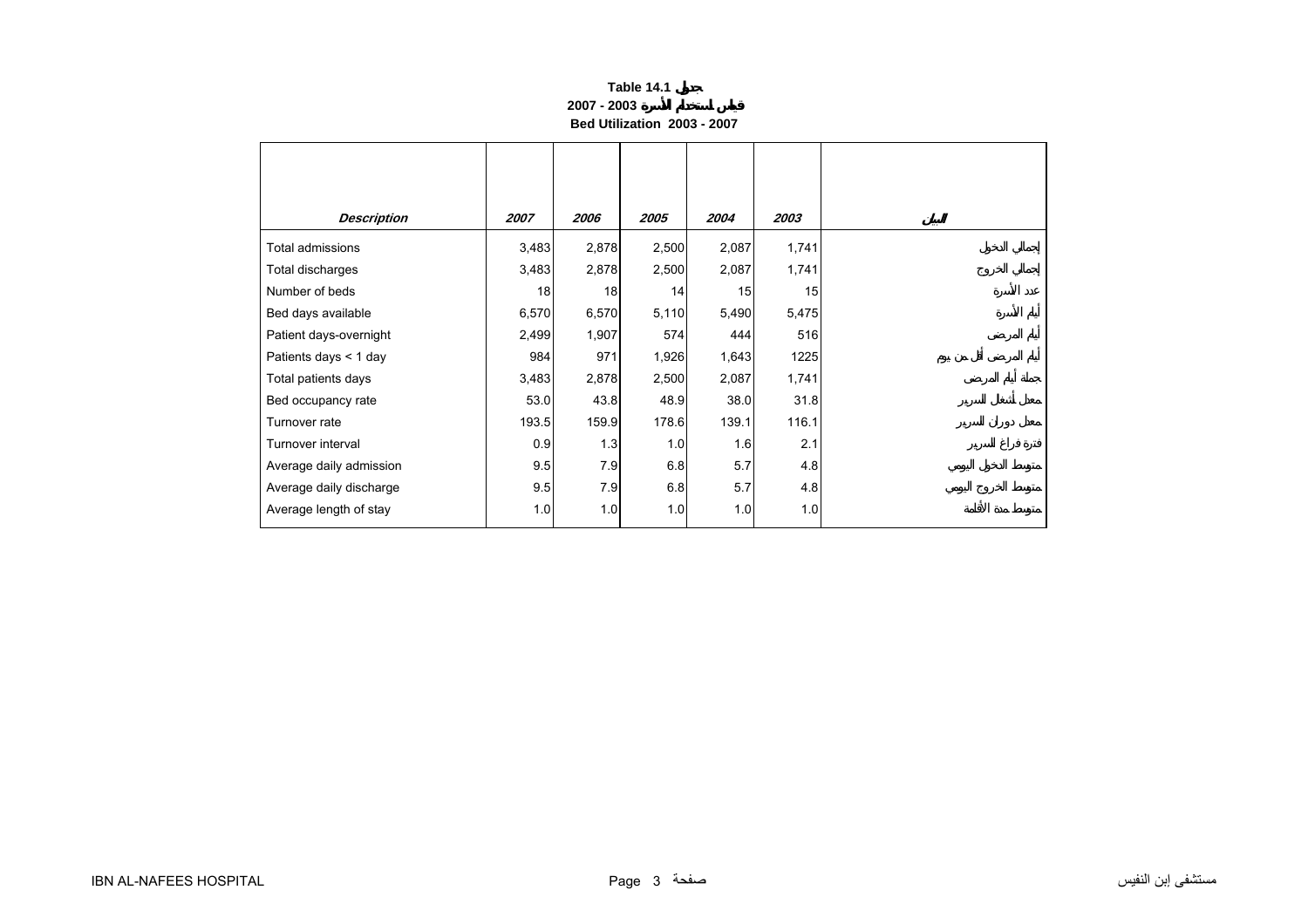# **Table 14.1 2007 - 2003Bed Utilization 2003 - 2007**

<span id="page-1-0"></span>

| <b>Description</b>      | 2007  | 2006  | 2005  | 2004  | 2003  |
|-------------------------|-------|-------|-------|-------|-------|
| Total admissions        | 3,483 | 2,878 | 2,500 | 2,087 | 1,741 |
| Total discharges        | 3,483 | 2,878 | 2,500 | 2,087 | 1,741 |
| Number of beds          | 18    | 18    | 14    | 15    | 15    |
| Bed days available      | 6,570 | 6,570 | 5,110 | 5,490 | 5,475 |
| Patient days-overnight  | 2,499 | 1,907 | 574   | 444   | 516   |
| Patients days < 1 day   | 984   | 971   | 1,926 | 1,643 | 1225  |
| Total patients days     | 3,483 | 2,878 | 2,500 | 2,087 | 1,741 |
| Bed occupancy rate      | 53.0  | 43.8  | 48.9  | 38.0  | 31.8  |
| Turnover rate           | 193.5 | 159.9 | 178.6 | 139.1 | 116.1 |
| Turnover interval       | 0.9   | 1.3   | 1.0   | 1.6   | 2.1   |
| Average daily admission | 9.5   | 7.9   | 6.8   | 5.7   | 4.8   |
| Average daily discharge | 9.5   | 7.9   | 6.8   | 5.7   | 4.8   |
| Average length of stay  | 1.0   | 1.0   | 1.0   | 1.0   | 1.0   |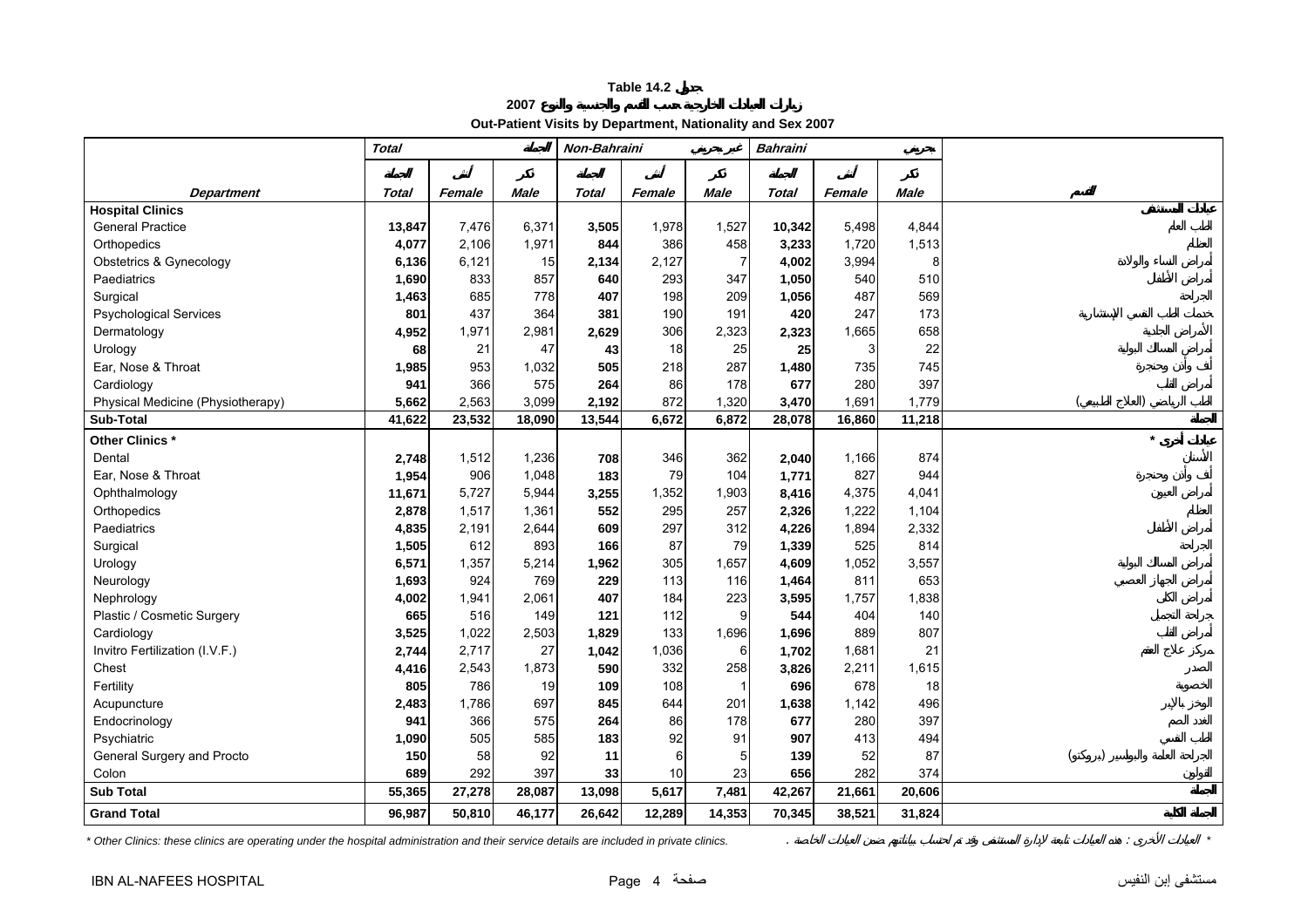**2007**

**Out-Patient Visits by Department, Nationality and Sex 2007** 

<span id="page-2-0"></span>

|                                   | <b>Total</b> |        |             | Non-Bahraini |        |                | <b>Bahraini</b> |        |             |         |
|-----------------------------------|--------------|--------|-------------|--------------|--------|----------------|-----------------|--------|-------------|---------|
|                                   |              |        |             |              |        |                |                 |        |             |         |
| Department                        | Total        | Female | <b>Male</b> | <b>Total</b> | Female | Male           | Total           | Female | <b>Male</b> |         |
| <b>Hospital Clinics</b>           |              |        |             |              |        |                |                 |        |             |         |
| <b>General Practice</b>           | 13,847       | 7,476  | 6,371       | 3,505        | 1,978  | 1,527          | 10,342          | 5,498  | 4,844       |         |
| Orthopedics                       | 4,077        | 2,106  | 1,971       | 844          | 386    | 458            | 3,233           | 1,720  | 1,513       |         |
| Obstetrics & Gynecology           | 6,136        | 6,121  | 15          | 2,134        | 2,127  | $\overline{7}$ | 4,002           | 3,994  | 8           |         |
| Paediatrics                       | 1,690        | 833    | 857         | 640          | 293    | 347            | 1,050           | 540    | 510         |         |
| Surgical                          | 1,463        | 685    | 778         | 407          | 198    | 209            | 1,056           | 487    | 569         |         |
| <b>Psychological Services</b>     | 801          | 437    | 364         | 381          | 190    | 191            | 420             | 247    | 173         |         |
| Dermatology                       | 4,952        | 1,971  | 2,981       | 2,629        | 306    | 2,323          | 2,323           | 1,665  | 658         |         |
| Urology                           | 68           | 21     | 47          | 43           | 18     | 25             | 25              | 3      | 22          |         |
| Ear, Nose & Throat                | 1,985        | 953    | 1,032       | 505          | 218    | 287            | 1,480           | 735    | 745         |         |
| Cardiology                        | 941          | 366    | 575         | 264          | 86     | 178            | 677             | 280    | 397         |         |
| Physical Medicine (Physiotherapy) | 5,662        | 2,563  | 3,099       | 2,192        | 872    | 1,320          | 3,470           | 1,691  | 1,779       |         |
| <b>Sub-Total</b>                  | 41,622       | 23,532 | 18,090      | 13,544       | 6,672  | 6,872          | 28,078          | 16,860 | 11,218      |         |
| Other Clinics*                    |              |        |             |              |        |                |                 |        |             | $\star$ |
| Dental                            | 2,748        | 1,512  | 1,236       | 708          | 346    | 362            | 2,040           | 1,166  | 874         |         |
| Ear. Nose & Throat                | 1,954        | 906    | 1,048       | 183          | 79     | 104            | 1,771           | 827    | 944         |         |
| Ophthalmology                     | 11,671       | 5,727  | 5,944       | 3,255        | 1,352  | 1,903          | 8,416           | 4,375  | 4,041       |         |
| Orthopedics                       | 2,878        | 1,517  | 1,361       | 552          | 295    | 257            | 2,326           | 1,222  | 1,104       |         |
| Paediatrics                       | 4,835        | 2,191  | 2,644       | 609          | 297    | 312            | 4,226           | 1,894  | 2,332       |         |
| Surgical                          | 1,505        | 612    | 893         | 166          | 87     | 79             | 1,339           | 525    | 814         |         |
| Urology                           | 6,571        | 1,357  | 5,214       | 1,962        | 305    | 1,657          | 4,609           | 1,052  | 3,557       |         |
| Neurology                         | 1,693        | 924    | 769         | 229          | 113    | 116            | 1,464           | 811    | 653         |         |
| Nephrology                        | 4,002        | 1,941  | 2,061       | 407          | 184    | 223            | 3,595           | 1,757  | 1,838       |         |
| Plastic / Cosmetic Surgery        | 665          | 516    | 149         | 121          | 112    | 9              | 544             | 404    | 140         |         |
| Cardiology                        | 3,525        | 1,022  | 2,503       | 1,829        | 133    | 1,696          | 1,696           | 889    | 807         |         |
| Invitro Fertilization (I.V.F.)    | 2,744        | 2,717  | 27          | 1,042        | 1,036  | 6              | 1,702           | 1,681  | 21          |         |
| Chest                             | 4,416        | 2,543  | 1,873       | 590          | 332    | 258            | 3,826           | 2,211  | 1,615       |         |
| Fertility                         | 805          | 786    | 19          | 109          | 108    | $\mathbf{1}$   | 696             | 678    | 18          |         |
| Acupuncture                       | 2,483        | 1,786  | 697         | 845          | 644    | 201            | 1,638           | 1,142  | 496         |         |
| Endocrinology                     | 941          | 366    | 575         | 264          | 86     | 178            | 677             | 280    | 397         |         |
| Psychiatric                       | 1,090        | 505    | 585         | 183          | 92     | 91             | 907             | 413    | 494         |         |
| General Surgery and Procto        | 150          | 58     | 92          | 11           | 6      | 5              | 139             | 52     | 87          |         |
| Colon                             | 689          | 292    | 397         | 33           | 10     | 23             | 656             | 282    | 374         |         |
| <b>Sub Total</b>                  | 55,365       | 27,278 | 28,087      | 13,098       | 5,617  | 7,481          | 42,267          | 21,661 | 20,606      |         |
| <b>Grand Total</b>                | 96,987       | 50,810 | 46,177      | 26,642       | 12,289 | 14,353         | 70,345          | 38,521 | 31,824      |         |

*\* Other Clinics: these clinics are operating under the hospital administration and their service details are included in private clinics.* . : *\**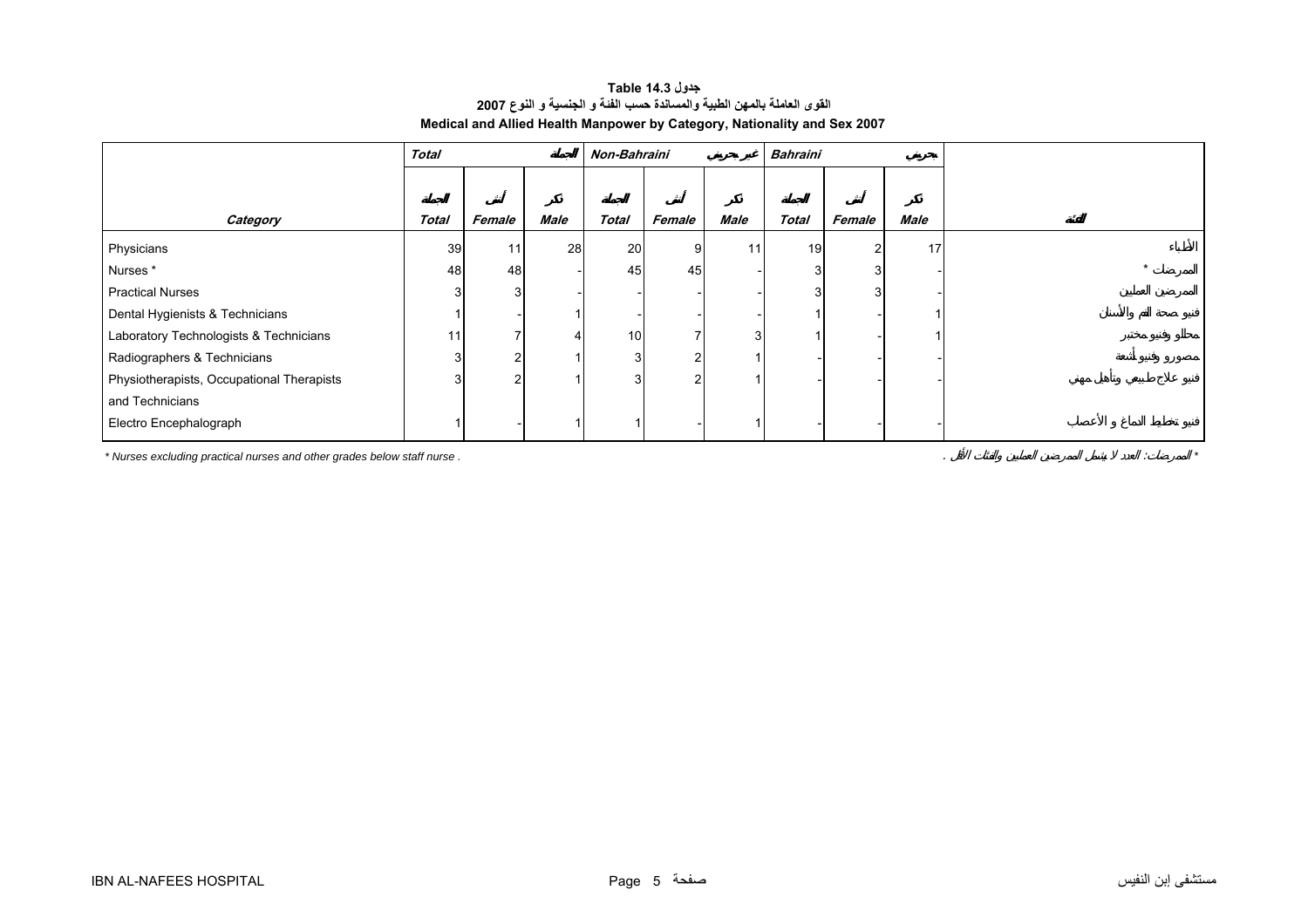# **جدول 14.3 Table القوى العاملة بالمهن الطبية والمساندة حسب الفئة <sup>و</sup> الجنسية <sup>و</sup> النوع <sup>2007</sup> Medical and Allied Health Manpower by Category, Nationality and Sex 2007**

<span id="page-3-0"></span>

|                                           | <b>Total</b> |        |      | Non-Bahraini |        |                | <b>Bahraini</b> |                |             |
|-------------------------------------------|--------------|--------|------|--------------|--------|----------------|-----------------|----------------|-------------|
|                                           |              |        |      |              |        |                |                 |                |             |
| Category                                  | <b>Total</b> | Female | Male | <b>Total</b> | Female | <b>Male</b>    | <b>Total</b>    | Female         | <b>Male</b> |
| Physicians                                | 39           | 11     | 28   | 20           | 9      | 11             | 19              | $\overline{2}$ | 17          |
| Nurses*                                   | 48           | 48     |      | 45           | 45     |                |                 | 3              |             |
| <b>Practical Nurses</b>                   |              |        |      |              |        |                |                 | 3              |             |
| Dental Hygienists & Technicians           |              |        |      |              |        |                |                 |                |             |
| Laboratory Technologists & Technicians    | 11           |        |      | 10           |        | 3 <sup>1</sup> |                 |                |             |
| Radiographers & Technicians               | 3            |        |      | 3            |        |                |                 |                |             |
| Physiotherapists, Occupational Therapists |              |        |      | З            |        |                |                 |                |             |
| and Technicians                           |              |        |      |              |        |                |                 |                |             |
| Electro Encephalograph                    |              |        |      |              |        |                |                 |                |             |

*\* Nurses excluding practical nurses and other grades below staff nurse .* . : *\**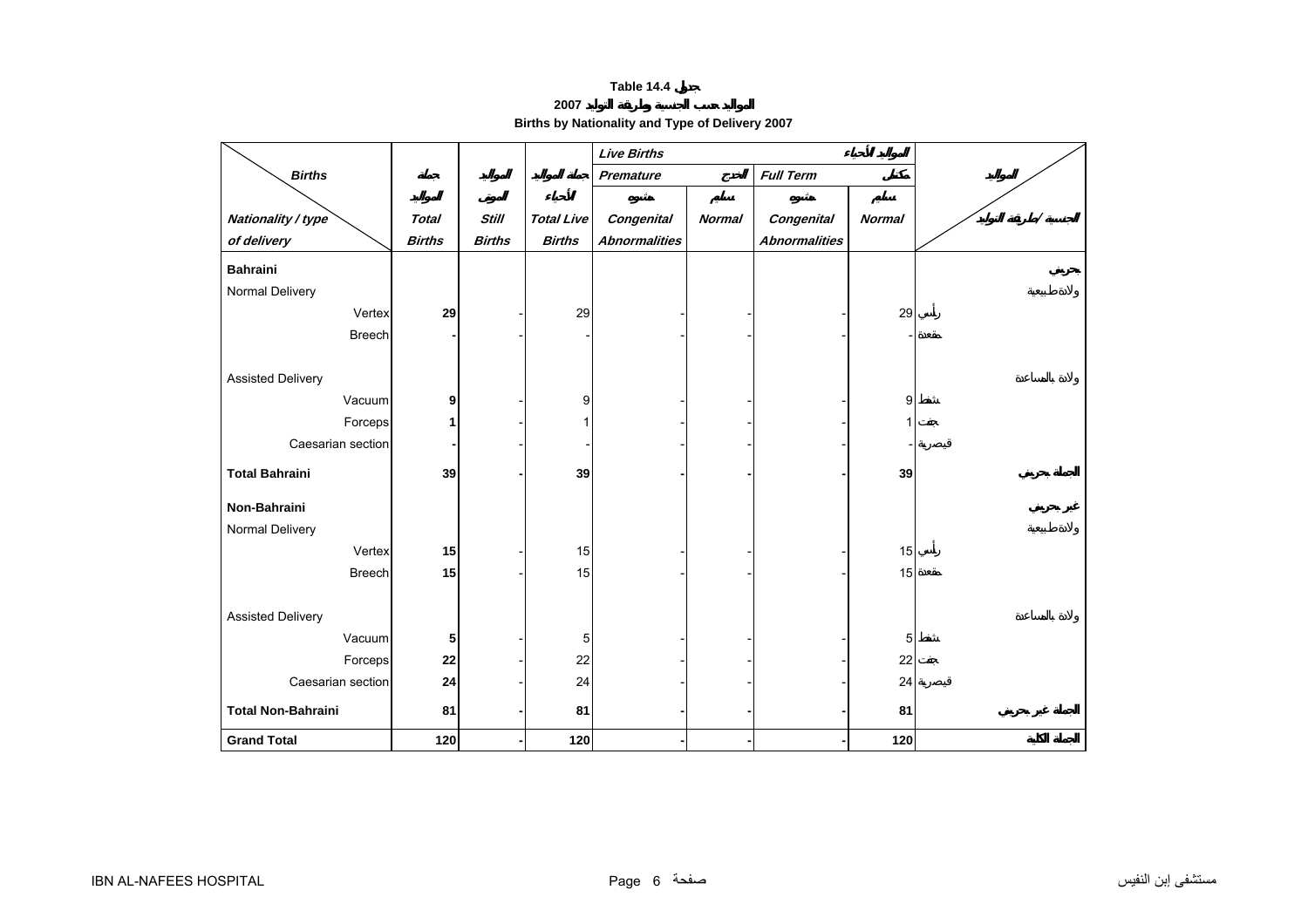**2007** 

**Births by Nationality and Type of Delivery 2007** 

<span id="page-4-0"></span>

|                           |               |               |                   | <b>Live Births</b>   |               |                      |               |   |
|---------------------------|---------------|---------------|-------------------|----------------------|---------------|----------------------|---------------|---|
| <b>Births</b>             |               |               |                   | Premature            |               | <b>Full Term</b>     |               |   |
|                           |               |               |                   |                      |               |                      |               |   |
| Nationality / type        | <b>Total</b>  | <b>Still</b>  | <b>Total Live</b> | Congenital           | <b>Normal</b> | Congenital           | <b>Normal</b> | Τ |
| of delivery               | <b>Births</b> | <b>Births</b> | <b>Births</b>     | <b>Abnormalities</b> |               | <b>Abnormalities</b> |               |   |
| <b>Bahraini</b>           |               |               |                   |                      |               |                      |               |   |
| Normal Delivery           |               |               |                   |                      |               |                      |               |   |
| Vertex                    | 29            |               | 29                |                      |               |                      | 29            |   |
| <b>Breech</b>             |               |               |                   |                      |               |                      |               |   |
|                           |               |               |                   |                      |               |                      |               |   |
| <b>Assisted Delivery</b>  |               |               |                   |                      |               |                      |               |   |
| Vacuum                    | 9             |               | 9                 |                      |               |                      | 9             |   |
| Forceps                   | 1             |               |                   |                      |               |                      |               |   |
| Caesarian section         |               |               |                   |                      |               |                      |               |   |
| <b>Total Bahraini</b>     | 39            |               | 39                |                      |               |                      | 39            |   |
|                           |               |               |                   |                      |               |                      |               |   |
| Non-Bahraini              |               |               |                   |                      |               |                      |               |   |
| Normal Delivery           |               |               |                   |                      |               |                      |               |   |
| Vertex                    | 15            |               | 15                |                      |               |                      | 15            |   |
| <b>Breech</b>             | 15            |               | 15                |                      |               |                      | 15            |   |
|                           |               |               |                   |                      |               |                      |               |   |
| <b>Assisted Delivery</b>  |               |               |                   |                      |               |                      |               |   |
| Vacuum                    | 5             |               | 5                 |                      |               |                      | 5             |   |
| Forceps                   | 22            |               | 22                |                      |               |                      | 22            |   |
| Caesarian section         | 24            |               | 24                |                      |               |                      | 24            |   |
| <b>Total Non-Bahraini</b> | 81            |               | 81                |                      |               |                      | 81            |   |
| <b>Grand Total</b>        | 120           |               | 120               |                      |               |                      | 120           |   |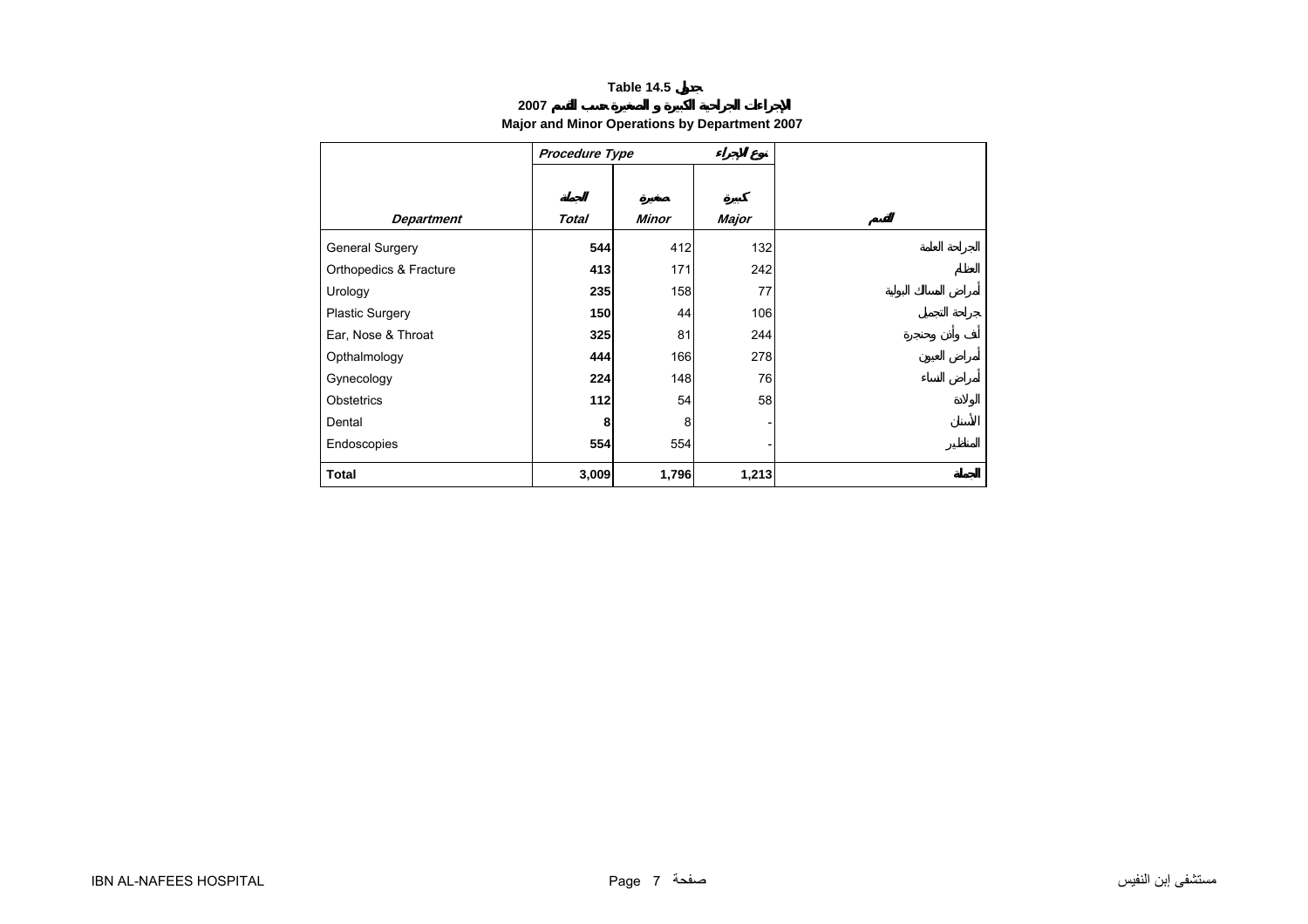# **2007**

# **Major and Minor Operations by Department 2007**

<span id="page-5-0"></span>

|                        | Procedure Type |              |       |
|------------------------|----------------|--------------|-------|
|                        |                |              |       |
|                        |                |              |       |
| <b>Department</b>      | <b>Total</b>   | <b>Minor</b> | Major |
| General Surgery        | 544            | 412          | 132   |
| Orthopedics & Fracture | 413            | 171          | 242   |
| Urology                | 235            | 158          | 77    |
| <b>Plastic Surgery</b> | 150            | 44           | 106   |
| Ear, Nose & Throat     | 325            | 81           | 244   |
| Opthalmology           | 444            | 166          | 278   |
| Gynecology             | 224            | 148          | 76    |
| <b>Obstetrics</b>      | 112            | 54           | 58    |
| Dental                 | 8              | 8            |       |
| Endoscopies            | 554            | 554          | ٠     |
| <b>Total</b>           | 3,009          | 1,796        | 1,213 |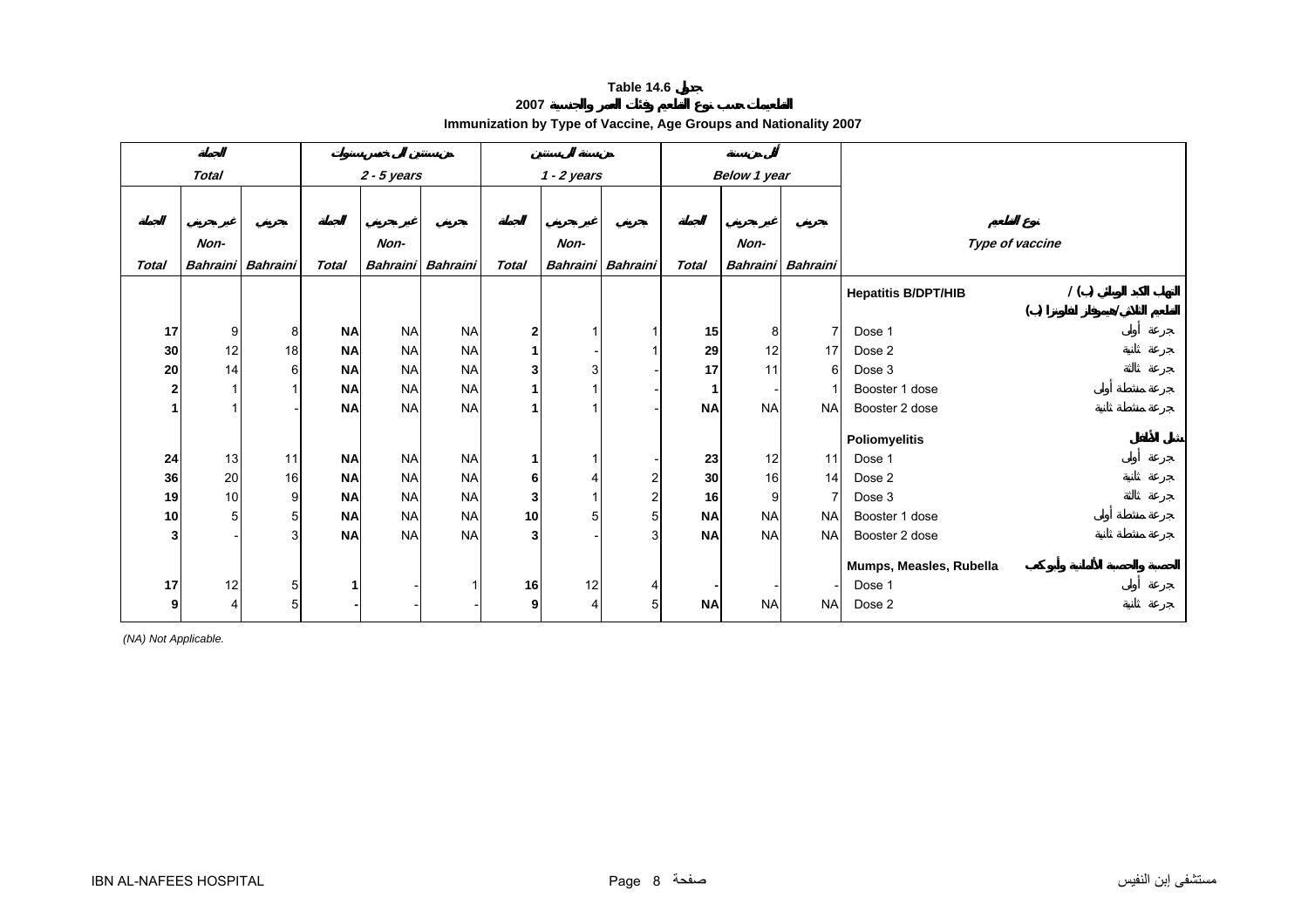**2007**

<span id="page-6-0"></span>

|              | <b>Total</b>   |                   |              | $2 - 5$ years |                   |                         | $1 - 2$ years |                   | <b>Below 1 year</b> |                 |                 |                                          |
|--------------|----------------|-------------------|--------------|---------------|-------------------|-------------------------|---------------|-------------------|---------------------|-----------------|-----------------|------------------------------------------|
|              |                |                   |              |               |                   |                         |               |                   |                     |                 |                 |                                          |
|              |                |                   |              |               |                   |                         |               |                   |                     |                 |                 |                                          |
|              | Non-           |                   |              | Non-          |                   |                         | Non-          |                   |                     | Non-            |                 | Type of vaccine                          |
| <b>Total</b> |                | Bahraini Bahraini | <b>Total</b> |               | Bahraini Bahraini | <b>Total</b>            |               | Bahraini Bahraini | <b>Total</b>        | <b>Bahraini</b> | <b>Bahraini</b> |                                          |
|              |                |                   |              |               |                   |                         |               |                   |                     |                 |                 |                                          |
|              |                |                   |              |               |                   |                         |               |                   |                     |                 |                 | 1()<br><b>Hepatitis B/DPT/HIB</b><br>( ) |
| 17           | 9              | 8                 | <b>NA</b>    | <b>NA</b>     | <b>NA</b>         | $\mathbf{2}$            |               |                   | 15                  | 8               | $\overline{7}$  | Dose 1                                   |
| 30           | 12             | 18                | <b>NA</b>    | <b>NA</b>     | <b>NA</b>         | $\mathbf{1}$            |               |                   | 29                  | 12              | 17              | Dose 2                                   |
| 20           | 14             | 6                 | <b>NA</b>    | <b>NA</b>     | <b>NA</b>         | 3                       |               |                   | 17                  | 11              | $6 \,$          | Dose 3                                   |
| 2            |                |                   | <b>NA</b>    | <b>NA</b>     | <b>NA</b>         | 1                       |               |                   |                     |                 |                 | Booster 1 dose                           |
| 1            |                |                   | <b>NA</b>    | <b>NA</b>     | <b>NA</b>         | 1                       |               |                   | <b>NA</b>           | <b>NA</b>       | <b>NA</b>       | Booster 2 dose                           |
|              |                |                   |              |               |                   |                         |               |                   |                     |                 |                 |                                          |
|              |                |                   |              |               |                   |                         |               |                   |                     |                 |                 | <b>Poliomyelitis</b>                     |
| 24           | 13             | 11                | <b>NA</b>    | <b>NA</b>     | <b>NA</b>         | $\mathbf{1}$            |               |                   | 23                  | 12              | 11              | Dose 1                                   |
| 36           | 20             | 16                | <b>NA</b>    | <b>NA</b>     | <b>NA</b>         | 6 <sup>1</sup>          |               | 2                 | 30 <sub>l</sub>     | 16              | 14              | Dose 2                                   |
| 19           | 10             | 9                 | <b>NA</b>    | <b>NA</b>     | <b>NA</b>         | $\mathbf{3}$            |               | 2                 | 16                  | 9               | $\overline{7}$  | Dose 3                                   |
| 10           | 5 <sup>1</sup> | 5                 | <b>NA</b>    | <b>NA</b>     | <b>NA</b>         | 10 <sup>1</sup>         |               | 5                 | <b>NA</b>           | <b>NA</b>       | <b>NA</b>       | Booster 1 dose                           |
| 3            |                | $\overline{3}$    | <b>NA</b>    | <b>NA</b>     | <b>NA</b>         | $\overline{\mathbf{3}}$ |               | 3                 | <b>NA</b>           | <b>NA</b>       | <b>NA</b>       | Booster 2 dose                           |
|              |                |                   |              |               |                   |                         |               |                   |                     |                 |                 | Mumps, Measles, Rubella                  |
| 17           | 12             | 5                 | 1            |               |                   | 16                      | 12            | 4                 |                     |                 |                 | Dose 1                                   |
| 9            | 4              | 5 <sub>5</sub>    |              |               |                   | 9 <sup>1</sup>          | Δ             | 5                 | <b>NA</b>           | <b>NA</b>       | <b>NA</b>       | Dose 2                                   |

*(NA) Not Applicable.*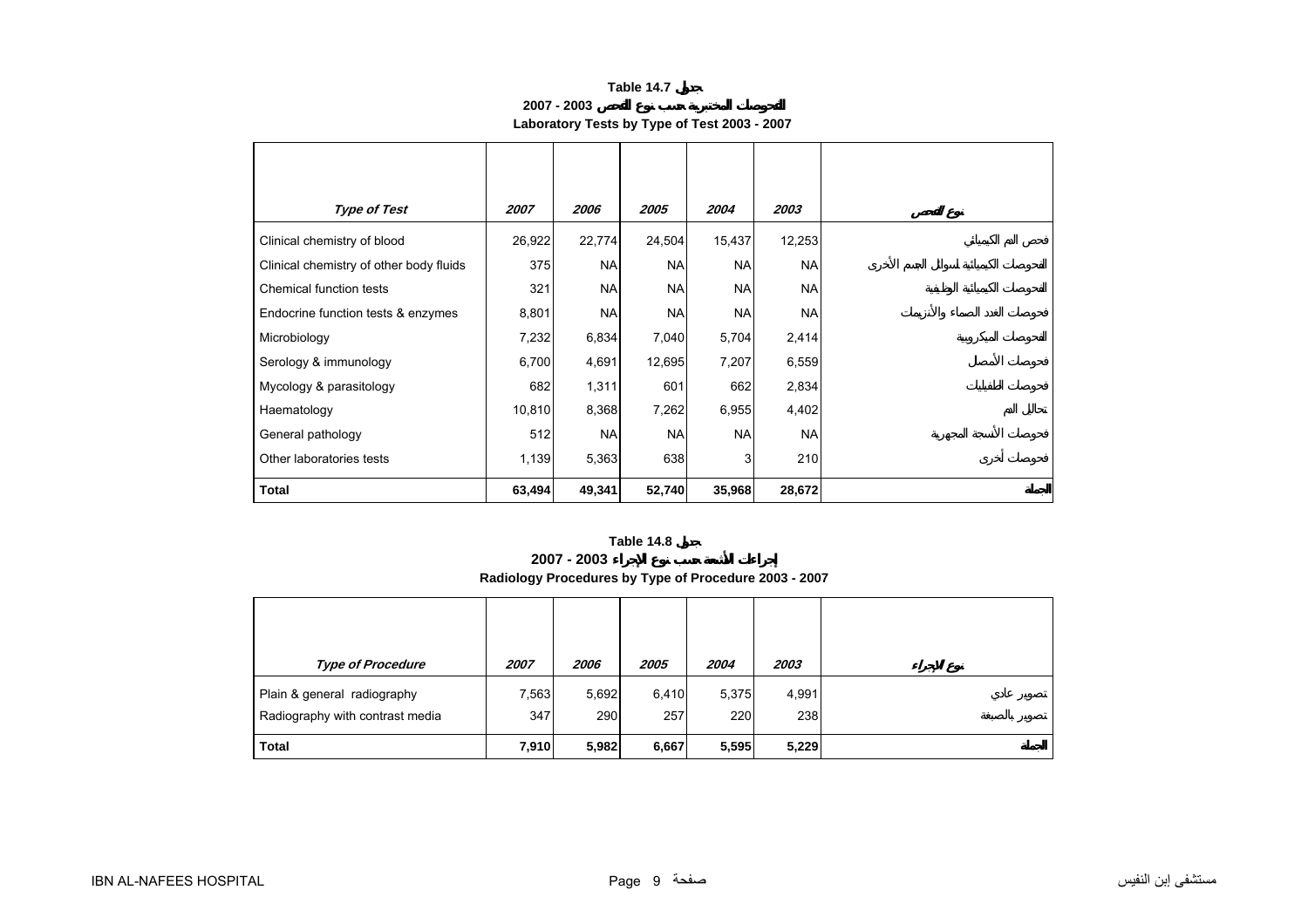# **2007 - 2003Laboratory Tests by Type of Test 2003 - 2007**

<span id="page-7-0"></span>

| <b>Type of Test</b>                     | 2007   | <i><b>2006</b></i> | 2005      | 2004      | 2003      |
|-----------------------------------------|--------|--------------------|-----------|-----------|-----------|
| Clinical chemistry of blood             | 26,922 | 22,774             | 24,504    | 15,437    | 12,253    |
| Clinical chemistry of other body fluids | 375    | <b>NA</b>          | <b>NA</b> | <b>NA</b> | <b>NA</b> |
| Chemical function tests                 | 321    | <b>NA</b>          | <b>NA</b> | <b>NA</b> | <b>NA</b> |
| Endocrine function tests & enzymes      | 8,801  | <b>NA</b>          | <b>NA</b> | <b>NA</b> | <b>NA</b> |
| Microbiology                            | 7,232  | 6,834              | 7,040     | 5,704     | 2,414     |
| Serology & immunology                   | 6,700  | 4,691              | 12,695    | 7,207     | 6,559     |
| Mycology & parasitology                 | 682    | 1,311              | 601       | 662       | 2,834     |
| Haematology                             | 10,810 | 8,368              | 7,262     | 6,955     | 4,402     |
| General pathology                       | 512    | <b>NA</b>          | <b>NA</b> | <b>NA</b> | <b>NA</b> |
| Other laboratories tests                | 1,139  | 5,363              | 638       | 3         | 210       |
| <b>Total</b>                            | 63,494 | 49,341             | 52,740    | 35,968    | 28,672    |

#### **Table 14.8**

**2007 - 2003**

**Radiology Procedures by Type of Procedure 2003 - 2007**

| <b>Type of Procedure</b>                                       | 2007         | 2006         | 2005         | 2004         | 2003         |
|----------------------------------------------------------------|--------------|--------------|--------------|--------------|--------------|
| Plain & general radiography<br>Radiography with contrast media | 7,563<br>347 | 5,692<br>290 | 6,410<br>257 | 5,375<br>220 | 4,991<br>238 |
| <b>Total</b>                                                   | 7,910        | 5,982        | 6,667        | 5,595        | 5,229        |